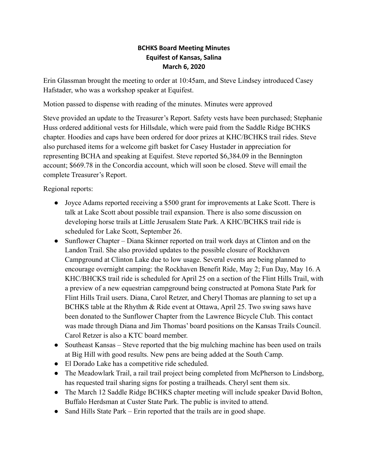## **BCHKS Board Meeting Minutes Equifest of Kansas, Salina March 6, 2020**

Erin Glassman brought the meeting to order at 10:45am, and Steve Lindsey introduced Casey Hafstader, who was a workshop speaker at Equifest.

Motion passed to dispense with reading of the minutes. Minutes were approved

Steve provided an update to the Treasurer's Report. Safety vests have been purchased; Stephanie Huss ordered additional vests for Hillsdale, which were paid from the Saddle Ridge BCHKS chapter. Hoodies and caps have been ordered for door prizes at KHC/BCHKS trail rides. Steve also purchased items for a welcome gift basket for Casey Hustader in appreciation for representing BCHA and speaking at Equifest. Steve reported \$6,384.09 in the Bennington account; \$669.78 in the Concordia account, which will soon be closed. Steve will email the complete Treasurer's Report.

Regional reports:

- Joyce Adams reported receiving a \$500 grant for improvements at Lake Scott. There is talk at Lake Scott about possible trail expansion. There is also some discussion on developing horse trails at Little Jerusalem State Park. A KHC/BCHKS trail ride is scheduled for Lake Scott, September 26.
- Sunflower Chapter Diana Skinner reported on trail work days at Clinton and on the Landon Trail. She also provided updates to the possible closure of Rockhaven Campground at Clinton Lake due to low usage. Several events are being planned to encourage overnight camping: the Rockhaven Benefit Ride, May 2; Fun Day, May 16. A KHC/BHCKS trail ride is scheduled for April 25 on a section of the Flint Hills Trail, with a preview of a new equestrian campground being constructed at Pomona State Park for Flint Hills Trail users. Diana, Carol Retzer, and Cheryl Thomas are planning to set up a BCHKS table at the Rhythm & Ride event at Ottawa, April 25. Two swing saws have been donated to the Sunflower Chapter from the Lawrence Bicycle Club. This contact was made through Diana and Jim Thomas' board positions on the Kansas Trails Council. Carol Retzer is also a KTC board member.
- Southeast Kansas Steve reported that the big mulching machine has been used on trails at Big Hill with good results. New pens are being added at the South Camp.
- El Dorado Lake has a competitive ride scheduled.
- The Meadowlark Trail, a rail trail project being completed from McPherson to Lindsborg, has requested trail sharing signs for posting a trailheads. Cheryl sent them six.
- The March 12 Saddle Ridge BCHKS chapter meeting will include speaker David Bolton, Buffalo Herdsman at Custer State Park. The public is invited to attend.
- Sand Hills State Park Erin reported that the trails are in good shape.